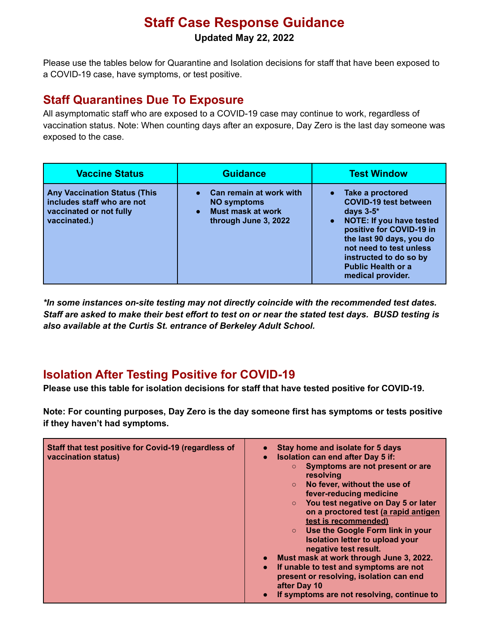## **Staff Case Response Guidance**

**Updated May 22, 2022**

Please use the tables below for Quarantine and Isolation decisions for staff that have been exposed to a COVID-19 case, have symptoms, or test positive.

## **Staff Quarantines Due To Exposure**

All asymptomatic staff who are exposed to a COVID-19 case may continue to work, regardless of vaccination status. Note: When counting days after an exposure, Day Zero is the last day someone was exposed to the case.

| <b>Vaccine Status</b>                                                                                        | <b>Guidance</b>                                                                                   | <b>Test Window</b>                                                                                                                                                                                                                                                                |
|--------------------------------------------------------------------------------------------------------------|---------------------------------------------------------------------------------------------------|-----------------------------------------------------------------------------------------------------------------------------------------------------------------------------------------------------------------------------------------------------------------------------------|
| <b>Any Vaccination Status (This</b><br>includes staff who are not<br>vaccinated or not fully<br>vaccinated.) | Can remain at work with<br><b>NO symptoms</b><br><b>Must mask at work</b><br>through June 3, 2022 | • Take a proctored<br><b>COVID-19 test between</b><br>days $3-5$ *<br><b>NOTE: If you have tested</b><br>$\bullet$<br>positive for COVID-19 in<br>the last 90 days, you do<br>not need to test unless<br>instructed to do so by<br><b>Public Health or a</b><br>medical provider. |

*\*In some instances on-site testing may not directly coincide with the recommended test dates.* Staff are asked to make their best effort to test on or near the stated test days. BUSD testing is *also available at the Curtis St. entrance of Berkeley Adult School.*

## **Isolation After Testing Positive for COVID-19**

**Please use this table for isolation decisions for staff that have tested positive for COVID-19.**

**Note: For counting purposes, Day Zero is the day someone first has symptoms or tests positive if they haven't had symptoms.**

| test is recommended)<br>Use the Google Form link in your<br>$\circ$<br>Isolation letter to upload your<br>negative test result.<br>Must mask at work through June 3, 2022.<br>If unable to test and symptoms are not<br>$\bullet$<br>present or resolving, isolation can end<br>after Day 10<br>If symptoms are not resolving, continue to | Staff that test positive for Covid-19 (regardless of<br>vaccination status) | Stay home and isolate for 5 days<br><b>Isolation can end after Day 5 if:</b><br>$\bullet$<br>Symptoms are not present or are<br>resolving<br>No fever, without the use of<br>fever-reducing medicine<br>You test negative on Day 5 or later<br>on a proctored test (a rapid antigen |
|--------------------------------------------------------------------------------------------------------------------------------------------------------------------------------------------------------------------------------------------------------------------------------------------------------------------------------------------|-----------------------------------------------------------------------------|-------------------------------------------------------------------------------------------------------------------------------------------------------------------------------------------------------------------------------------------------------------------------------------|
|--------------------------------------------------------------------------------------------------------------------------------------------------------------------------------------------------------------------------------------------------------------------------------------------------------------------------------------------|-----------------------------------------------------------------------------|-------------------------------------------------------------------------------------------------------------------------------------------------------------------------------------------------------------------------------------------------------------------------------------|